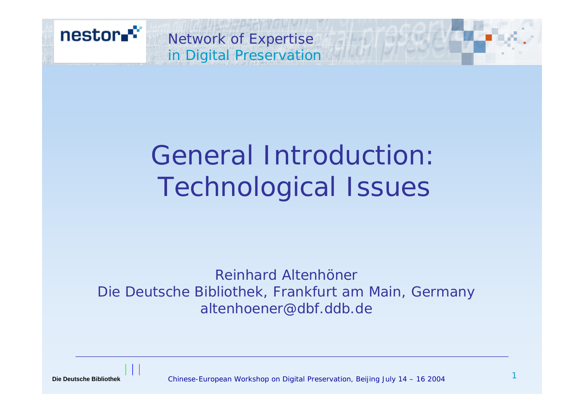

# General Introduction: Technological Issues

*Reinhard AltenhönerDie Deutsche Bibliothek, Frankfurt am Main, Germany altenhoener@dbf.ddb.de*

**Die Deutsche Bibliothek**

Chinese-European Workshop on Digital Preservation, Beijing July 14 – 16 2004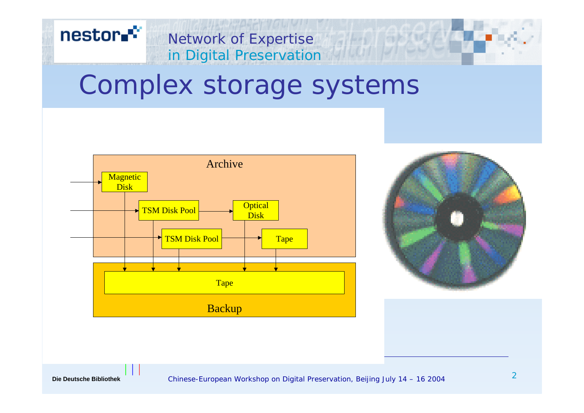# in Digital Preservation Complex storage systems

Network of Expertise







nestor.<sup>\*\*</sup>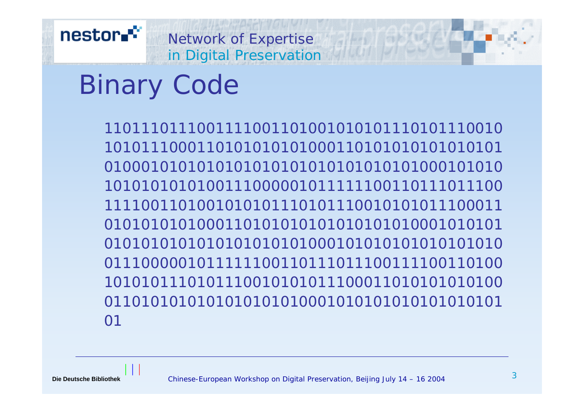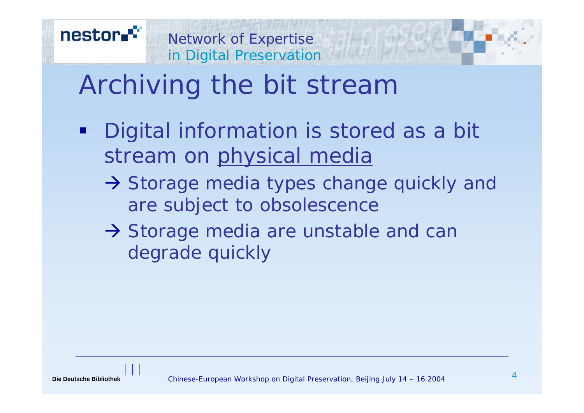# Archiving the bit stream

- п Digital information is stored as a bit stream on physical media
	- $\rightarrow$  Storage media types change quickly and are subject to obsolescence
	- $\rightarrow$  Storage media are unstable and can degrade quickly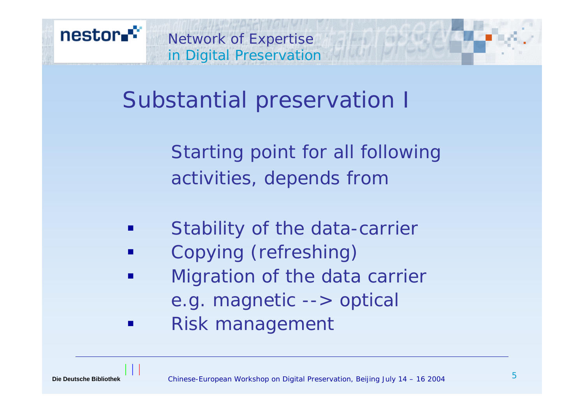

Substantial preservation I

Starting point for all following activities, depends from

- Stability of the data-carrier
- Copying (refreshing)
- **Service Service**  Migration of the data carrier e.g. magnetic --> optical
- Risk management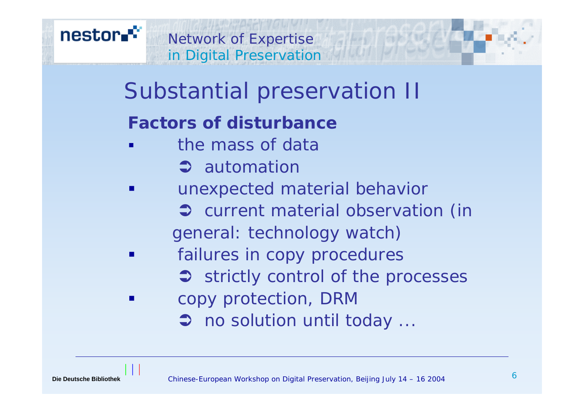

# Substantial preservation II

## **Factors of disturbance**

- a<br>Ma the mass of data
	- $\Rightarrow$  automation
- unexpected material behavior
	- $\bullet$  current material observation (in general: technology watch)
- failures in copy procedures
	- $\Rightarrow$  strictly control of the processes
- copy protection, DRM
	- $\supset$  no solution until today ...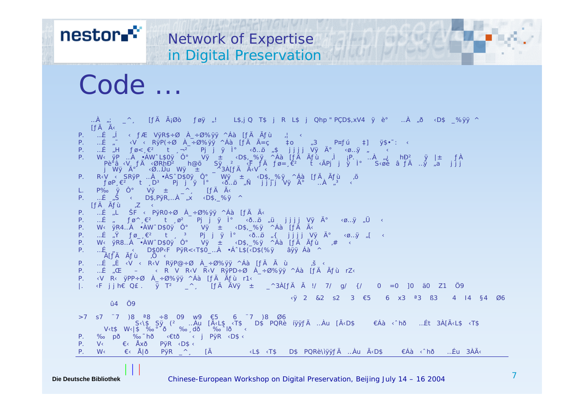nestor<sup>e</sup>

# Code ...

... $A_{ij}$ ;  $\triangle$   $\wedge$  [ $fA$   $\tilde{A}_i\emptyset$ ò  $f\emptyset$  $j$   $l$ ! L\$,j Q T\$ j R L\$ j Qhp " PÇD\$,xV4  $\ddot{y}$  è° ... $\dot{A}$   $\ddot{\theta}$   $\wedge$ D\$  $\cong$ % $\ddot{y}\dot{y}$   $\wedge$  $\int f \ddot{A} \ddot{A}$ P. …É "Í «  $f$ Æ VÿR\$÷Ø À\_÷Ø%ÿÿ ^Áà [ $f$ Ä Ã $f$ ù ;¦ « P. …É  $\int_{a}^{\infty}$  <V < RyP(֯  $\overrightarrow{A}$  ֯%yy ^Áà [ $f$ Ä  $\overrightarrow{A}$  =c  $\int_{a}^{\infty}$  +3 P¤ $f$ ú  $\pm$ ] y\$•~: < P. …É "H  $f \varnothing < e^2$  t  $\Box^{-2}$  Pj j ÿ l° < $\Diamond$  ...  $\Diamond$  ,  $\Diamond$  j j j j Vÿ  $\Diamond^{\circ}$  <  $\Diamond$  ...  $\Diamond'$  ,  $\Diamond$ P. W‹ÿP…À•ÁWˆL\$0ÿÔ° Vÿ ± ‹D\$,\_%ÿ ^Áà[ƒÄ Ãù )ì ¡P. …À "¿ hĐ? ÿ |± ƒÀ Pè<sup>8</sup>â‹V ƒÄ‹ØRhĐ<sup>ź</sup> h@õ Sÿ ² ‹F̄*ŤÄ ƒ*ø=¸¯ėº t̄‹ÃPj๋ j ẏ̀l° S‹øě⠃ąỹ"a j j̃j<br>j Wÿİ ‹Ø…ÛuWÿ ± \_^3À[ƒÄËV·‹ P. R(V < SRyP …À •ÀSˆD\$0ÿ Ô° Wÿ ± «D\$,\_%ÿ ^Áà [*f*Ă Ấ*f*u ,õ *føP*,  $\varepsilon^2$  t ,D<sup>3</sup> Pj j ÿ l<sup>o</sup> (ð…ö "Ñ j j j j Vÿ İ …À <sup>"3</sup> < L. P‰ ÿ Ô° Vÿ  $\pm$   $\overline{\phantom{a}}^{\wedge}$  [ $f$ Ä Ã< P.  $\ldots E \times \tilde{S} \times D\$ {S},  $P\overline{y}R, \ldots A \times D\$ ,  $\overline{S} \times D\$  $If A \tilde{A}fU \tilde{C}$ P. …É "L ŠF < PÿR0÷Ø À\_÷Ø%ÿÿ ^Áà [*f*Ä Ã<  $\therefore$  Ε΄,  $f \varnothing^{\wedge}$ , ∈<sup>2</sup> t  $\varnothing^2$  Pj j ÿ l<sup>o</sup> <ð…ö , ü j j j j Vÿ İ <ø…ÿ , Ü < P. W< ÿR4…À •ÀWˆD\$0ÿ Ô° Vÿ  $\pm$  <D\$,\_%ÿ ^Áà [ $f$ Ä Ã< P. …É  $\tilde{N}$   $f\varphi_{-} \in \mathbb{P}$  t  $\tilde{3}$  Pj j  $\tilde{y}$   $\tilde{y}$  o.  $\tilde{0}$   $\tilde{q}$  i j j j  $V\tilde{y}$   $\tilde{A}^{\circ}$   $\varphi$  .  $\tilde{y}$   $\tilde{y}$   $\tilde{q}$ P. W<  $\overline{Y}R8...$ À •ÀWˆD\$0ÿ Ô° Vÿ ± <D\$,\_%ÿ ^Áà [ƒĂ Ãù ,# < …É « D\$0P‹F<sup>`</sup>PÿR<<T\$Õ\_…À •ÁˆL\$(‹D\$(%ÿ âÿÿ Áà ^ Â[*ƒ*Ä *Ã*ù ,Ö ‹ P. …É "È ‹V ‹ R‹V RÿP@ $\div$ Ø À $\div$ Ø%ÿÿ ^Áà [ $f$ Ä Ã ù s ‹ P.…É"Œ – ‹RVR‹VR‹VRÿPD÷ØÀ\_÷Ø%ÿÿ ^Áà[ƒÄÃùrZ‹ P. ‹V R‹ ÿPP÷Ø À\_÷Ø%ÿÿ ^Áà [*ƒ*Ä Ã*ƒ*ù r1‹ |.  $\langle$ F j j h€ Q£ . ÿ T<sup>2</sup> |  $\triangleq$  [ $f$ Ä ÃVÿ  $\pm$  |  $\triangleq$   $\triangleq$   $\triangleq$ A[ $f$ Ä Ã !/ 7/ g/ {/ 0 =0 ]0 ä0 Z1 Ö9 ‹ÿ2 &2 s2 3 €5 6 x3 ª3 ß3 4 I4 §4 Ø6 û4 Ö9 >7 s7 ¨7 )8 ª8 ÷8 09 w9 €5 6 ¨7 )8 Ø6 S‹\\$Sÿ(²…Àu[ËL\$‹T\$D\$PQRèíÿÿƒÄ…Àu[ËD\$€Áà‹ˆhð…Ét3À[ËL\$‹T\$ V‹t\$W‹|\$‰°`ð‰¸dð‰ˆlð‹ P. ‰pð ‰ hð «€tð < j PÿR <D\$ < P. V< €< Åxð PÿR <D\$ < P.W‹€‹Å|ðPÿR\_^¸ [ËL\$‹T\$D\$PQRè\ìÿÿƒÄ…ÀuËD\$€Áà‹ˆhð…Éu3ÀË

**Network of Expertise** 

in Digital Preservation

#### **Die Deutsche Bibliothek**

Chinese-European Workshop on Digital Preservation, Beijing July 14 – 16 2004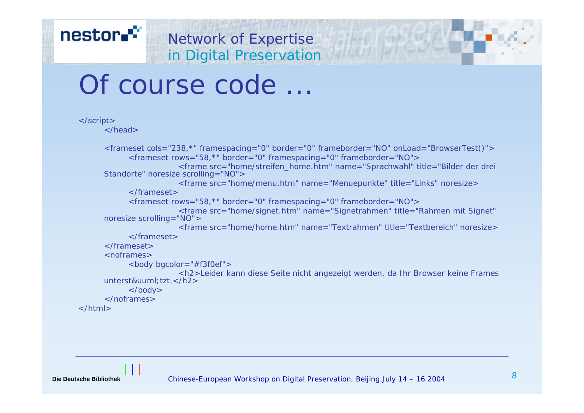# Of course code ...

```
</script>
      </head><frameset cols="238,*" framespacing="0" border="0" frameborder="NO" onLoad="BrowserTest()">
           <frameset rows="58,*" border="0" framespacing="0" frameborder="NO">
                       <frame src="home/streifen_home.htm" name="Sprachwahl" title="Bilder der drei 
     Standorte" noresize scrolling="NO">
                       <frame src="home/menu.htm" name="Menuepunkte" title="Links" noresize>
            </frameset><frameset rows="58,*" border="0" framespacing="0" frameborder="NO">
                       <frame src="home/signet.htm" name="Signetrahmen" title="Rahmen mit Signet" 
     noresize scrolling="NO">
                       <frame src="home/home.htm" name="Textrahmen" title="Textbereich" noresize></frameset></frameset><noframes><body bgcolor="#f3f0ef">
      sh2>Leider kann diese Seite nicht angezeigt werden, da Ihr Browser keine Frames unterst&uuml:tzt.</h2>
           </body>
      </noframes></html>
```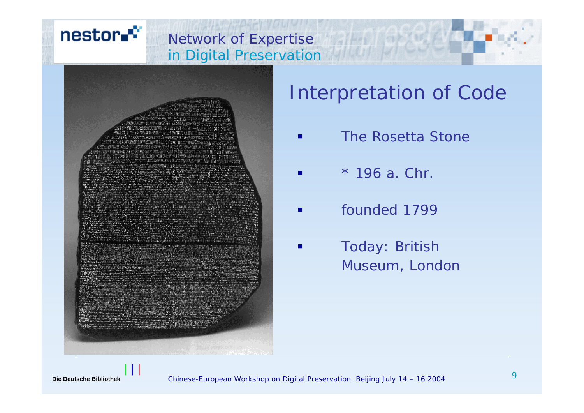#### Network of Expertise in Digital Preservation



## Interpretation of Code

- $\blacksquare$ **The Rosetta Stone**
- L. \* 196 a. Chr.
- p. **Fack** founded 1799
- p. Today: British Museum, London

nestor.<sup>\*\*</sup>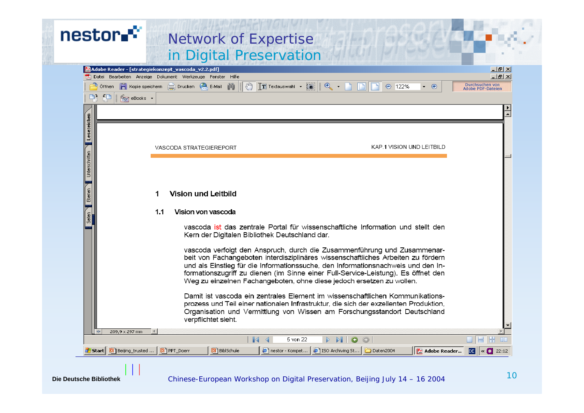| nestor."                      | <b>Network of Expertise</b><br>in Digital Preservation                                                                                                                                                                                                                                                                                                                                                                                                                                                                                                                                                                                                                                                                                                                                                      |
|-------------------------------|-------------------------------------------------------------------------------------------------------------------------------------------------------------------------------------------------------------------------------------------------------------------------------------------------------------------------------------------------------------------------------------------------------------------------------------------------------------------------------------------------------------------------------------------------------------------------------------------------------------------------------------------------------------------------------------------------------------------------------------------------------------------------------------------------------------|
| 中 担                           | [Adobe Reader - [strategiekonzept_vascoda_v2.2.pdf]<br><u>니레지</u><br>$  E $ $\times$<br>Datei Bearbeiten Anzeige Dokument Werkzeuge Fenster Hilfe<br>$\mathcal{S}^{\eta}$<br>$\bigoplus_{\alpha\in\mathbb{Z}}$<br>Durchsuchen von<br>$T$ Textauswahl $\bullet$ $\bullet$<br><b>offnen F</b> Kopie speichern <b>F</b> Drucken <b>C</b> E-Mail<br>122%<br>œ<br>$\odot$<br>$\bigoplus$<br><b>Adobe PDF-Dateien</b><br><b>Specie Books</b>                                                                                                                                                                                                                                                                                                                                                                      |
| Lesezeichen<br>Unterschriften | KAP.1 VISION UND LEITBILD<br>VASCODA STRATEGIEREPORT                                                                                                                                                                                                                                                                                                                                                                                                                                                                                                                                                                                                                                                                                                                                                        |
| Ebenen                        | <b>Vision und Leitbild</b><br>Vision von vascoda<br>1.1                                                                                                                                                                                                                                                                                                                                                                                                                                                                                                                                                                                                                                                                                                                                                     |
|                               | vascoda ist das zentrale Portal für wissenschaftliche Information und stellt den<br>Kern der Digitalen Bibliothek Deutschland dar.<br>vascoda verfolgt den Anspruch, durch die Zusammenführung und Zusammenar-<br>beit von Fachangeboten interdisziplinäres wissenschaftliches Arbeiten zu fördern<br>und als Einstieg für die Informationssuche, den Informationsnachweis und den In-<br>formationszugriff zu dienen (im Sinne einer Full-Service-Leistung). Es öffnet den<br>Weg zu einzelnen Fachangeboten, ohne diese jedoch ersetzen zu wollen.<br>Damit ist vascoda ein zentrales Element im wissenschaftlichen Kommunikations-<br>prozess und Teil einer nationalen Infrastruktur, die sich der exzellenten Produktion,<br>Organisation und Vermittlung von Wissen am Forschungsstandort Deutschland |
| / Start                       | verpflichtet sieht.<br>209,9 x 297 mm<br>$\blacksquare$<br>5 von 22<br><b>HH</b><br>$\bullet$<br><b>LIE</b><br>$\circ$<br><b>图1</b> BiblSchule<br>[9] Beijing_trusted<br><b>回</b> ] PPT_Doerr<br>nestor - Kompet<br>iso Archiving St<br>Daten2004<br>$DE$ $\left  \cdot \right  \le C$ 22:12<br><b>My Adobe Reader</b>                                                                                                                                                                                                                                                                                                                                                                                                                                                                                      |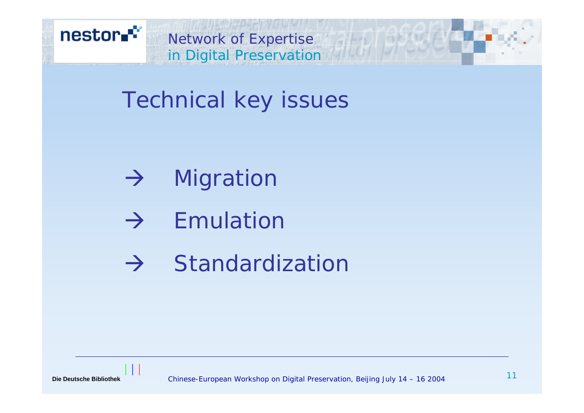

Technical key issues

- $\rightarrow$  1 Migration
- $\rightarrow$  Emulation
- $\rightarrow$  Standardization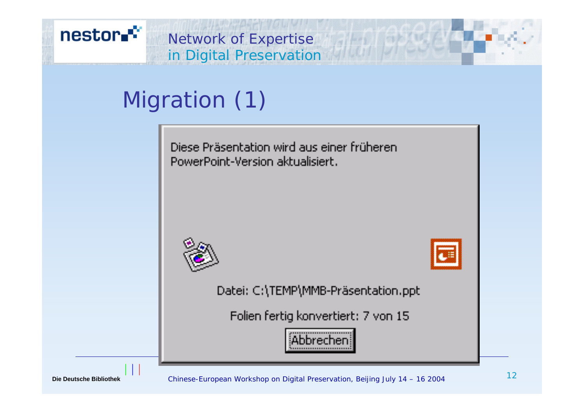

# Migration (1)

Diese Präsentation wird aus einer früheren. PowerPoint-Version akhialisiert.





Datei: C:\TEMP\MMB-Präsentation.ppt

Folien fertig konvertiert: 7 von 15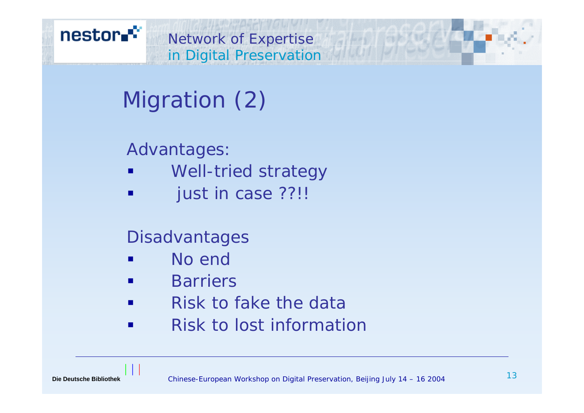# Migration (2)

#### Advantages:

- $\blacksquare$ Well-tried strategy
- $\blacksquare$ just in case ??!!

## Disadvantages

- No end
- $\blacksquare$ **Barriers**
- $\blacksquare$ Risk to fake the data
- $\blacksquare$ Risk to lost information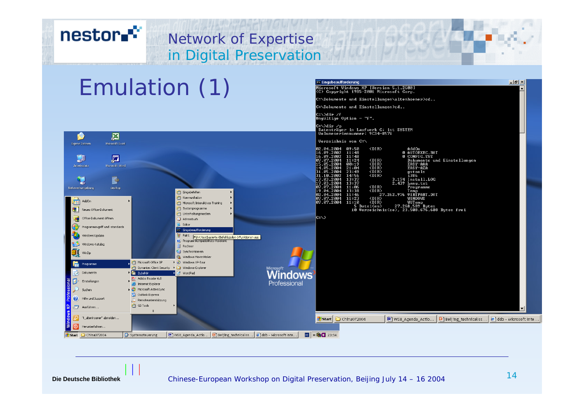#### nestor.<sup>\*\*</sup> Network of Expertise in Digital Preservation Emulation (1)<u>..</u><br>« Eingabeaufforderung  $-1$   $\mathbb{F}$   $\times$ :\Dokumente und Einstellungen\altenhoener>cd.. C:\Dokumente und Einstellungen>cd.. |<br>|C:\>dir /f<br>|Ungültige Option - "f". C:\>dir /p<br>| Datenträger in Laufwerk C: ist SYSTEM<br>| Volumeseriennummer: 9C34—8571 区 M Uerzeichnis von C:\ Microsoft Excel 09:50<br>11:48<br>11:48<br>11:24<br>00:19<br>21:04<br>23:49<br>14:56<br>13:37<br>13:37 AddOn<br>Ø AUTOEXEC.BAT<br>Ø CONFIG.SYS<br>Dokumente und Einstellungen<br>EASY-AAA .04.2004  $\langle DIR \rangle$ 16.09.2002 网  $-09 - 2002$ 见 <DIR><br><DIR><br><DIR><br><DIR><br><DIR><br><DIR> Microsoft Wor  $EASY-AZA$ B 3:37<br>
1:06 <br/>
<br/>
<br/>
<br/>
2.439 Programme<br>
3:38 <br/>
<br/>
<br/>
27.262.976 UIRPART.DAT<br>
1:46 <br/>
<br/>
127.262.976 UIRPART.DAT<br>
1:43 <br/>
<br/>
1180008<br>
1:10 <br/>
<br/>
UIRDO08 <br/> $\begin{array}{ll} \mbox{MIPanN} \\ \mbox{1:$  $11:96$ <br> $13:38$ <br> $11:46$ <br> $11:23$ <br> $11:10$ Netzwerkumgebung desktop Eingabehilfen **Communikation Fig** AddOn m Microsoft Interaktives Training 图 Neues Office-Dokument **mill** Systemprogramme **m** Unterhaltungsmedien Office-Dokument öffnen  $|c:\rangle$ Adressbuch Edito Programmzugriff und -standards **K** Eingabeaufforderung

Professiona

Windows Update

Windows-Katalog

k WinZip

**Frag** Programme

2 Dokumente

Einstellungen

Hilfe und Support

"t\_altenhoener" abmelder

Herunterfahren. Start C China072004

Ausführen...

₽

 $| \circ |$ 

 $\mathcal{Q}$  Sucher

**W** Paint

**Rechne** Synchronisierer

Symantec Client Security > Co Windows-Explorer

Microsoft Office XP

Adobe Reader 6.0

Internet Explorer

Microsoft ActiveSync

Remoteunterstützung **th** GS Tools

 $\boldsymbol{\times}$ 

Outlook Express

**Giji** Zubehör

Systemsteuerung

**St.** Windows Movie Maker

▶ **◆** Windows XP-Tour

WordPad

(2) Programmkompatibilitäts-Assisten

Führt textbasierte (Befehlszeilen-) Funktionen aus.

**H** WS8\_Agenda\_Actio... | D Beijing\_technicallss... | ● ddb - Microsoft Inte...

 $\boxed{0}$   $\left\| \times \left\| \right\|$   $\left\| \right\|$  23:54

Start | C China072004

网) WS8\_Agenda\_Actio... | 回 Beijing\_technicallss... | @ ddb - Microsoft Inte..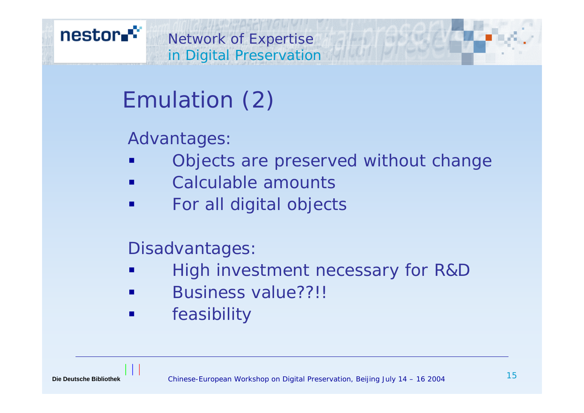# Emulation (2)

## Advantages:

- Objects are preserved without change
- $\blacksquare$ Calculable amounts
- For all digital objects

#### Disadvantages:

- High investment necessary for R&D
- Business value??!!
- feasibility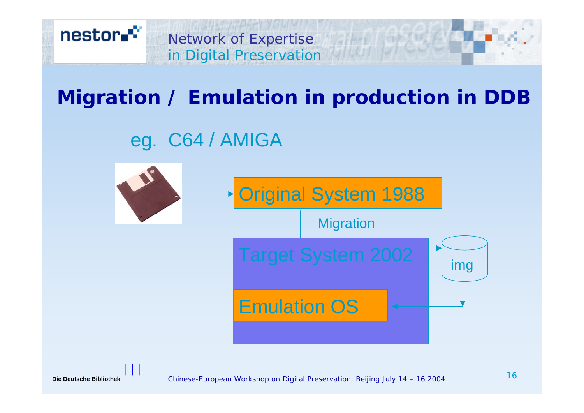

## **Migration / Emulation in production in DDB**

## eg. C64 / AMIGA





Chinese-European Workshop on Digital Preservation, Beijing July 14 – 16 2004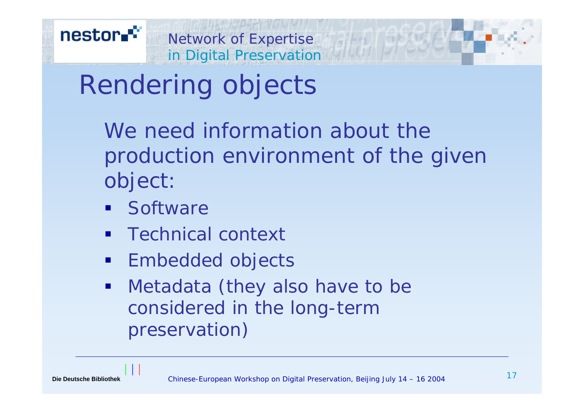# Rendering objects

We need information about the production environment of the given object:

- **Software**
- $\blacksquare$ Technical context
- $\blacksquare$ Embedded objects
- $\blacksquare$  Metadata (they also have to be considered in the long-term preservation)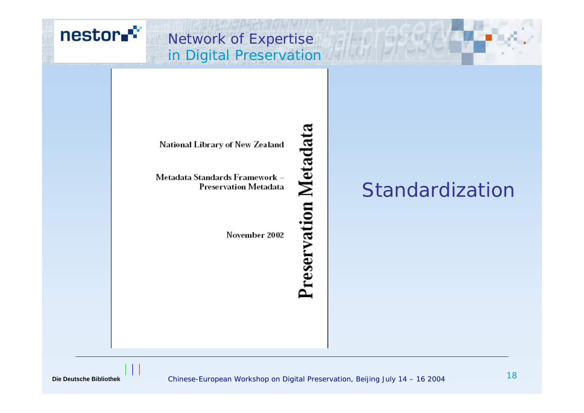

#### Network of Expertise in Digital Preservation

# **Preservation Metadata**

#### National Library of New Zealand

Metadata Standards Framework -Preservation Metadata

November 2002

Standardization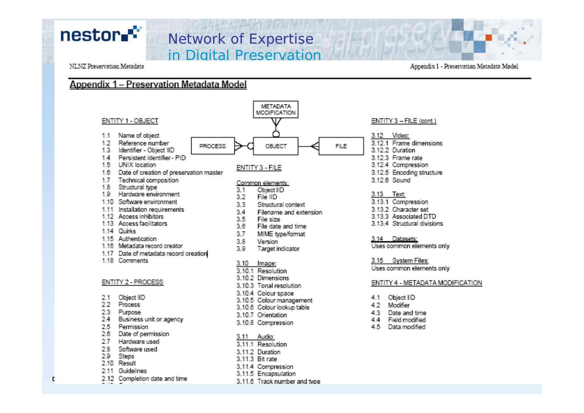## nestor.<sup>\*\*</sup>

#### Network of Expertise in Digital Preservation

#### NLNZ Preservation Metadata

Appendix 1 - Preservation Metadata Model

#### Appendix 1 - Preservation Metadata Model

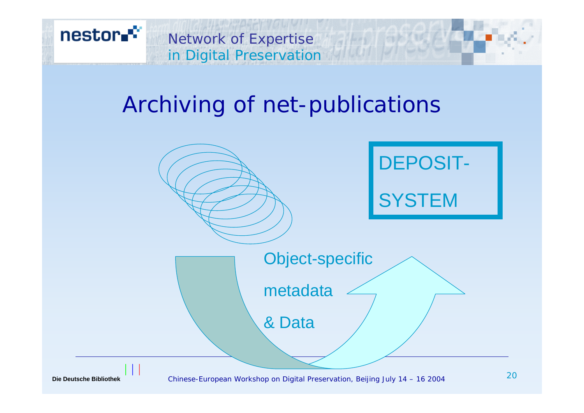

# Archiving of net-publications

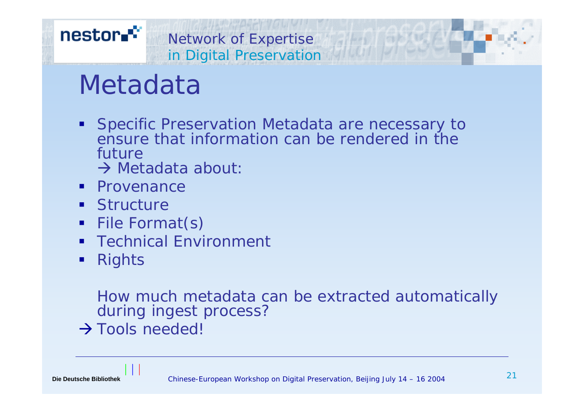# Metadata

- **Specific Preservation Metadata are necessary to** ensure that information can be rendered in the future
	- $\rightarrow$  Metadata about:
- **•** Provenance
- **Structure**
- File Format(s)
- **Service Service** Technical Environment
- $\blacksquare$ **Rights**

How much metadata can be extracted automatically during ingest process?

 $\rightarrow$  Tools needed!